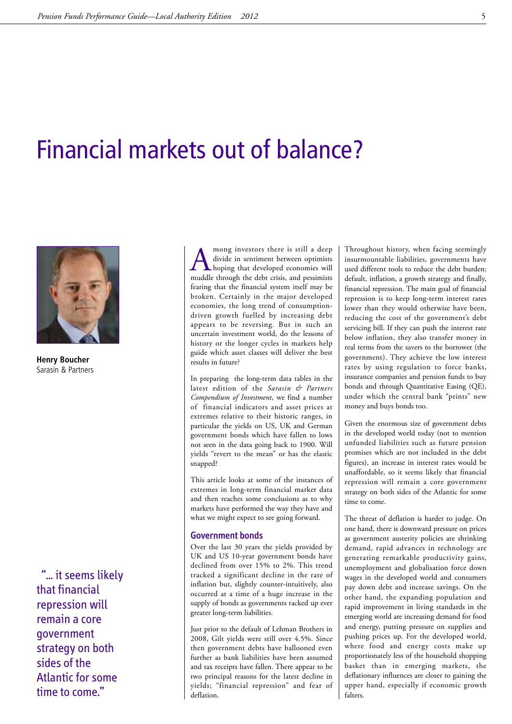## Financial markets out of balance?



**Henry Boucher** Sarasin & Partners

"... it seems likely that financial repression will remain a core government strategy on both sides of the Atlantic for some time to come."

A mong investors there is still a deep<br>divide in sentiment between optimists<br>hoping that developed economies will<br>muddle through the debt crisis and pessimists divide in sentiment between optimists muddle through the debt crisis, and pessimists fearing that the financial system itself may be broken. Certainly in the major developed economies, the long trend of consumptiondriven growth fuelled by increasing debt appears to be reversing. But in such an uncertain investment world, do the lessons of history or the longer cycles in markets help guide which asset classes will deliver the best results in future?

In preparing the long-term data tables in the latest edition of the *Sarasin & Partners Compendium of Investment*, we find a number of financial indicators and asset prices at extremes relative to their historic ranges, in particular the yields on US, UK and German government bonds which have fallen to lows not seen in the data going back to 1900. Will yields "revert to the mean" or has the elastic snapped?

This article looks at some of the instances of extremes in long-term financial market data and then reaches some conclusions as to why markets have performed the way they have and what we might expect to see going forward.

## Government bonds

Over the last 30 years the yields provided by UK and US 10-year government bonds have declined from over 15% to 2%. This trend tracked a significant decline in the rate of inflation but, slightly counter-intuitively, also occurred at a time of a huge increase in the supply of bonds as governments racked up ever greater long-term liabilities.

Just prior to the default of Lehman Brothers in 2008, Gilt yields were still over 4.5%. Since then government debts have ballooned even further as bank liabilities have been assumed and tax receipts have fallen. There appear to be two principal reasons for the latest decline in yields; "financial repression" and fear of deflation.

Throughout history, when facing seemingly insurmountable liabilities, governments have used different tools to reduce the debt burden: default, inflation, a growth strategy and finally, financial repression. The main goal of financial repression is to keep long-term interest rates lower than they would otherwise have been, reducing the cost of the government's debt servicing bill. If they can push the interest rate below inflation, they also transfer money in real terms from the savers to the borrower (the government). They achieve the low interest rates by using regulation to force banks, insurance companies and pension funds to buy bonds and through Quantitative Easing (QE), under which the central bank "prints" new money and buys bonds too.

Given the enormous size of government debts in the developed world today (not to mention unfunded liabilities such as future pension promises which are not included in the debt figures), an increase in interest rates would be unaffordable, so it seems likely that financial repression will remain a core government strategy on both sides of the Atlantic for some time to come.

The threat of deflation is harder to judge. On one hand, there is downward pressure on prices as government austerity policies are shrinking demand, rapid advances in technology are generating remarkable productivity gains, unemployment and globalisation force down wages in the developed world and consumers pay down debt and increase savings. On the other hand, the expanding population and rapid improvement in living standards in the emerging world are increasing demand for food and energy, putting pressure on supplies and pushing prices up. For the developed world, where food and energy costs make up proportionately less of the household shopping basket than in emerging markets, the deflationary influences are closer to gaining the upper hand, especially if economic growth falters.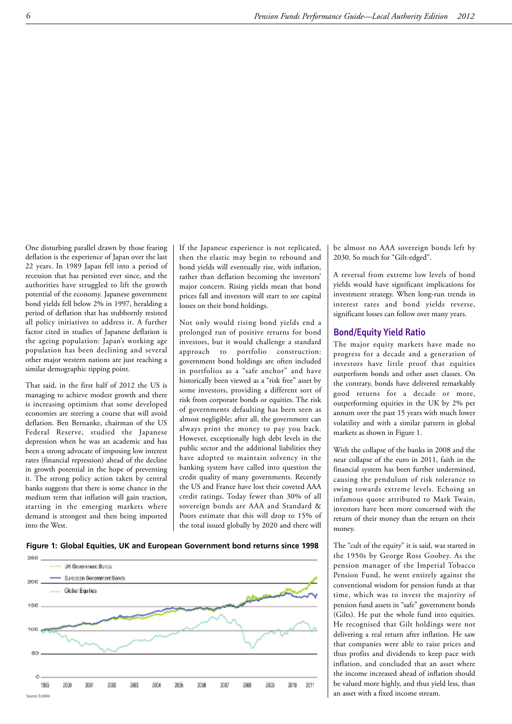One disturbing parallel drawn by those fearing deflation is the experience of Japan over the last 22 years. In 1989 Japan fell into a period of recession that has persisted ever since, and the authorities have struggled to lift the growth potential of the economy. Japanese government bond yields fell below 2% in 1997, heralding a period of deflation that has stubbornly resisted all policy initiatives to address it. A further factor cited in studies of Japanese deflation is the ageing population: Japan's working age population has been declining and several other major western nations are just reaching a similar demographic tipping point.

That said, in the first half of 2012 the US is managing to achieve modest growth and there is increasing optimism that some developed economies are steering a course that will avoid deflation. Ben Bernanke, chairman of the US Federal Reserve, studied the Japanese depression when he was an academic and has been a strong advocate of imposing low interest rates (financial repression) ahead of the decline in growth potential in the hope of preventing it. The strong policy action taken by central banks suggests that there is some chance in the medium term that inflation will gain traction, starting in the emerging markets where demand is strongest and then being imported into the West.

If the Japanese experience is not replicated, then the elastic may begin to rebound and bond yields will eventually rise, with inflation, rather than deflation becoming the investors' major concern. Rising yields mean that bond prices fall and investors will start to see capital losses on their bond holdings.

Not only would rising bond yields end a prolonged run of positive returns for bond investors, but it would challenge a standard approach to portfolio construction: government bond holdings are often included in portfolios as a "safe anchor" and have historically been viewed as a "risk free" asset by some investors, providing a different sort of risk from corporate bonds or equities. The risk of governments defaulting has been seen as almost negligible; after all, the government can always print the money to pay you back. However, exceptionally high debt levels in the public sector and the additional liabilities they have adopted to maintain solvency in the banking system have called into question the credit quality of many governments. Recently the US and France have lost their coveted AAA credit ratings. Today fewer than 30% of all sovereign bonds are AAA and Standard & Poors estimate that this will drop to 15% of the total issued globally by 2020 and there will be almost no AAA sovereign bonds left by 2030. So much for "Gilt-edged".

A reversal from extreme low levels of bond yields would have significant implications for investment strategy. When long-run trends in interest rates and bond yields reverse, significant losses can follow over many years.

## Bond/Equity Yield Ratio

The major equity markets have made no progress for a decade and a generation of investors have little proof that equities outperform bonds and other asset classes. On the contrary, bonds have delivered remarkably good returns for a decade or more, outperforming equities in the UK by 2% per annum over the past 15 years with much lower volatility and with a similar pattern in global markets as shown in Figure 1.

With the collapse of the banks in 2008 and the near collapse of the euro in 2011, faith in the financial system has been further undermined, causing the pendulum of risk tolerance to swing towards extreme levels. Echoing an infamous quote attributed to Mark Twain, investors have been more concerned with the return of their money than the return on their money.

The "cult of the equity" it is said, was started in the 1950s by George Ross Goobey. As the pension manager of the Imperial Tobacco Pension Fund, he went entirely against the conventional wisdom for pension funds at that time, which was to invest the majority of pension fund assets in "safe" government bonds (Gilts). He put the whole fund into equities. He recognised that Gilt holdings were not delivering a real return after inflation. He saw that companies were able to raise prices and thus profits and dividends to keep pace with inflation, and concluded that an asset where the income increased ahead of inflation should be valued more highly, and thus yield less, than an asset with a fixed income stream.